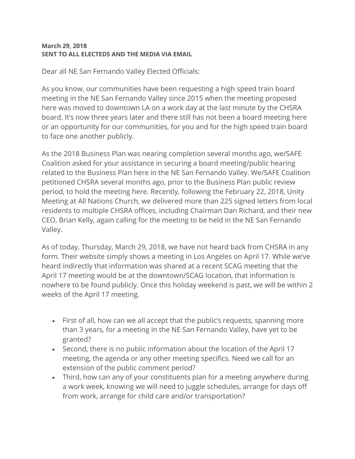## **March 29, 2018 SENT TO ALL ELECTEDS AND THE MEDIA VIA EMAIL**

Dear all NE San Fernando Valley Elected Officials:

As you know, our communities have been requesting a high speed train board meeting in the NE San Fernando Valley since 2015 when the meeting proposed here was moved to downtown LA on a work day at the last minute by the CHSRA board. It's now three years later and there still has not been a board meeting here or an opportunity for our communities, for you and for the high speed train board to face one another publicly.

As the 2018 Business Plan was nearing completion several months ago, we/SAFE Coalition asked for your assistance in securing a board meeting/public hearing related to the Business Plan here in the NE San Fernando Valley. We/SAFE Coalition petitioned CHSRA several months ago, prior to the Business Plan public review period, to hold the meeting here. Recently, following the February 22, 2018, Unity Meeting at All Nations Church, we delivered more than 225 signed letters from local residents to multiple CHSRA offices, including Chairman Dan Richard, and their new CEO, Brian Kelly, again calling for the meeting to be held in the NE San Fernando Valley.

As of today, Thursday, March 29, 2018, we have not heard back from CHSRA in any form. Their website simply shows a meeting in Los Angeles on April 17. While we've heard indirectly that information was shared at a recent SCAG meeting that the April 17 meeting would be at the downtown/SCAG location, that information is nowhere to be found publicly. Once this holiday weekend is past, we will be within 2 weeks of the April 17 meeting.

- First of all, how can we all accept that the public's requests, spanning more than 3 years, for a meeting in the NE San Fernando Valley, have yet to be granted?
- Second, there is no public information about the location of the April 17 meeting, the agenda or any other meeting specifics. Need we call for an extension of the public comment period?
- Third, how can any of your constituents plan for a meeting anywhere during a work week, knowing we will need to juggle schedules, arrange for days off from work, arrange for child care and/or transportation?